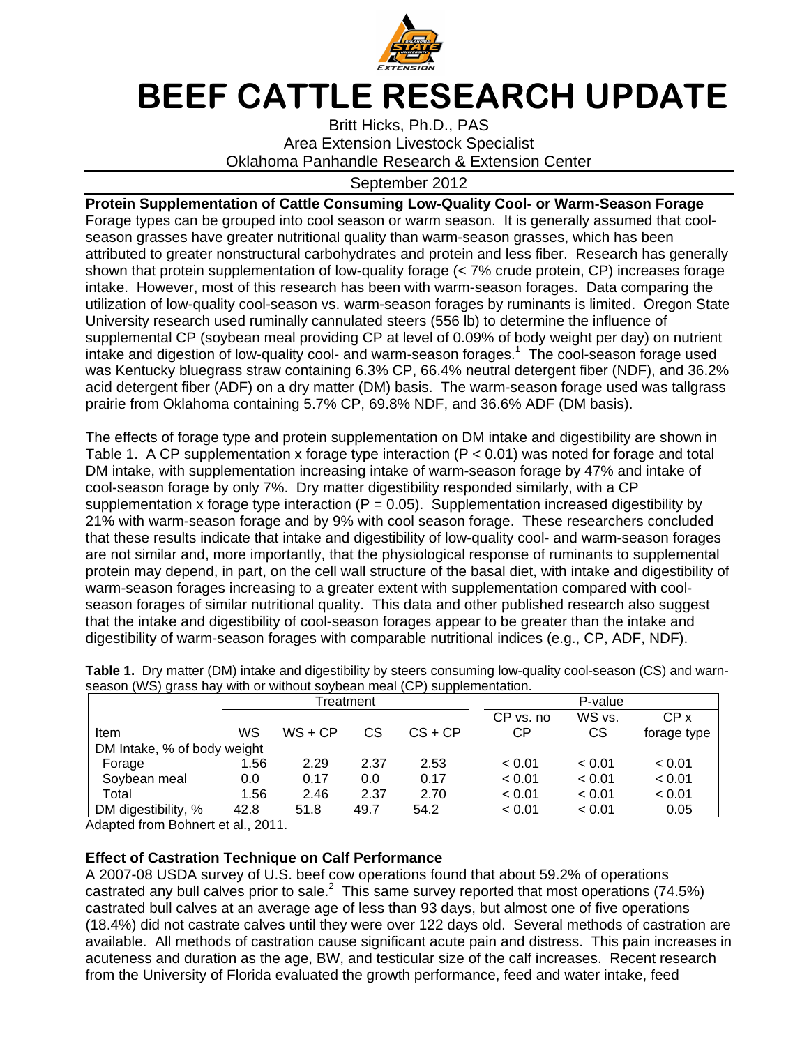

## BEEF CATTLE RESEARCH UPDATE

Britt Hicks, Ph.D., PAS Area Extension Livestock Specialist Oklahoma Panhandle Research & Extension Center

## September 2012

**Protein Supplementation of Cattle Consuming Low-Quality Cool- or Warm-Season Forage**  Forage types can be grouped into cool season or warm season. It is generally assumed that coolseason grasses have greater nutritional quality than warm-season grasses, which has been attributed to greater nonstructural carbohydrates and protein and less fiber. Research has generally shown that protein supplementation of low-quality forage (< 7% crude protein, CP) increases forage intake. However, most of this research has been with warm-season forages. Data comparing the utilization of low-quality cool-season vs. warm-season forages by ruminants is limited. Oregon State University research used ruminally cannulated steers (556 lb) to determine the influence of supplemental CP (soybean meal providing CP at level of 0.09% of body weight per day) on nutrient intake and digestion of low-quality cool- and warm-season forages.<sup>1</sup> The cool-season forage used was Kentucky bluegrass straw containing 6.3% CP, 66.4% neutral detergent fiber (NDF), and 36.2% acid detergent fiber (ADF) on a dry matter (DM) basis. The warm-season forage used was tallgrass prairie from Oklahoma containing 5.7% CP, 69.8% NDF, and 36.6% ADF (DM basis).

The effects of forage type and protein supplementation on DM intake and digestibility are shown in Table 1. A CP supplementation x forage type interaction ( $P < 0.01$ ) was noted for forage and total DM intake, with supplementation increasing intake of warm-season forage by 47% and intake of cool-season forage by only 7%. Dry matter digestibility responded similarly, with a CP supplementation x forage type interaction ( $P = 0.05$ ). Supplementation increased digestibility by 21% with warm-season forage and by 9% with cool season forage. These researchers concluded that these results indicate that intake and digestibility of low-quality cool- and warm-season forages are not similar and, more importantly, that the physiological response of ruminants to supplemental protein may depend, in part, on the cell wall structure of the basal diet, with intake and digestibility of warm-season forages increasing to a greater extent with supplementation compared with coolseason forages of similar nutritional quality. This data and other published research also suggest that the intake and digestibility of cool-season forages appear to be greater than the intake and digestibility of warm-season forages with comparable nutritional indices (e.g., CP, ADF, NDF).

|                             | Treatment |           |      | P-value   |           |        |                 |
|-----------------------------|-----------|-----------|------|-----------|-----------|--------|-----------------|
|                             |           |           |      |           | CP vs. no | WS vs. | CP <sub>x</sub> |
| Item                        | WS        | $WS + CP$ | СS   | $CS + CP$ | СP        | СS     | forage type     |
| DM Intake, % of body weight |           |           |      |           |           |        |                 |
| Forage                      | 1.56      | 2.29      | 2.37 | 2.53      | < 0.01    | < 0.01 | < 0.01          |
| Soybean meal                | 0.0       | 0.17      | 0.0  | 0.17      | < 0.01    | < 0.01 | < 0.01          |
| Total                       | 1.56      | 2.46      | 2.37 | 2.70      | < 0.01    | < 0.01 | < 0.01          |
| DM digestibility, %         | 42.8      | 51.8      | 49.7 | 54.2      | < 0.01    | < 0.01 | 0.05            |

**Table 1.** Dry matter (DM) intake and digestibility by steers consuming low-quality cool-season (CS) and warnseason (WS) grass hay with or without soybean meal (CP) supplementation.

Adapted from Bohnert et al., 2011.

## **Effect of Castration Technique on Calf Performance**

A 2007-08 USDA survey of U.S. beef cow operations found that about 59.2% of operations castrated any bull calves prior to sale.<sup>2</sup> This same survey reported that most operations (74.5%) castrated bull calves at an average age of less than 93 days, but almost one of five operations (18.4%) did not castrate calves until they were over 122 days old. Several methods of castration are available. All methods of castration cause significant acute pain and distress. This pain increases in acuteness and duration as the age, BW, and testicular size of the calf increases. Recent research from the University of Florida evaluated the growth performance, feed and water intake, feed